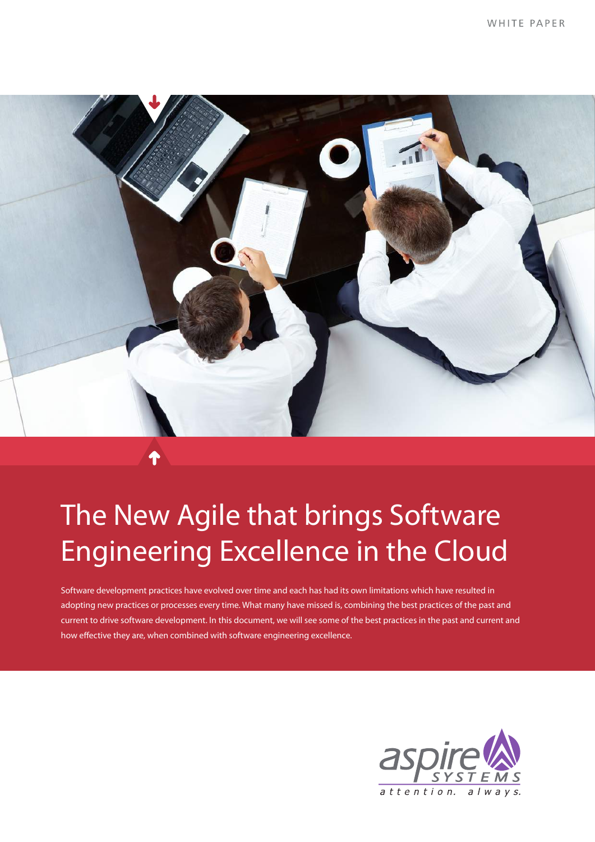

# The New Agile that brings Software Engineering Excellence in the Cloud

Software development practices have evolved over time and each has had its own limitations which have resulted in adopting new practices or processes every time. What many have missed is, combining the best practices of the past and current to drive software development. In this document, we will see some of the best practices in the past and current and how effective they are, when combined with software engineering excellence.

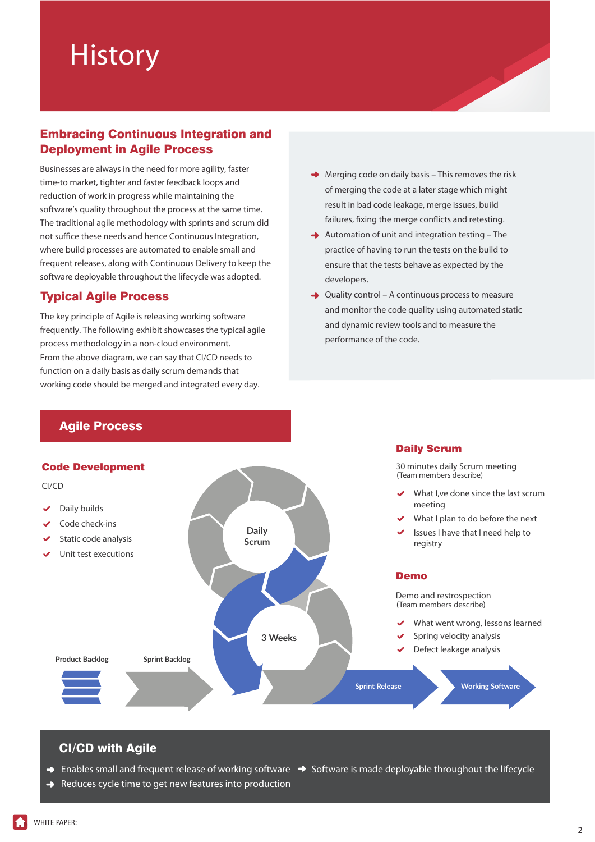# **History**

### Embracing Continuous Integration and Deployment in Agile Process

Businesses are always in the need for more agility, faster time-to market, tighter and faster feedback loops and reduction of work in progress while maintaining the software's quality throughout the process at the same time. The traditional agile methodology with sprints and scrum did not suffice these needs and hence Continuous Integration, where build processes are automated to enable small and frequent releases, along with Continuous Delivery to keep the software deployable throughout the lifecycle was adopted.

# Typical Agile Process

The key principle of Agile is releasing working software frequently. The following exhibit showcases the typical agile process methodology in a non-cloud environment. From the above diagram, we can say that CI/CD needs to function on a daily basis as daily scrum demands that working code should be merged and integrated every day.

- $\rightarrow$  Merging code on daily basis This removes the risk of merging the code at a later stage which might result in bad code leakage, merge issues, build failures, fixing the merge conflicts and retesting.
- $\rightarrow$  Automation of unit and integration testing The practice of having to run the tests on the build to ensure that the tests behave as expected by the developers.
- $\rightarrow$  Quality control A continuous process to measure and monitor the code quality using automated static and dynamic review tools and to measure the performance of the code.

Daily Scrum

# Agile Process

#### Code Development



# CI/CD with Agile

- $\rightarrow$  Enables small and frequent release of working software  $\rightarrow$  Software is made deployable throughout the lifecycle
- $\rightarrow$  Reduces cycle time to get new features into production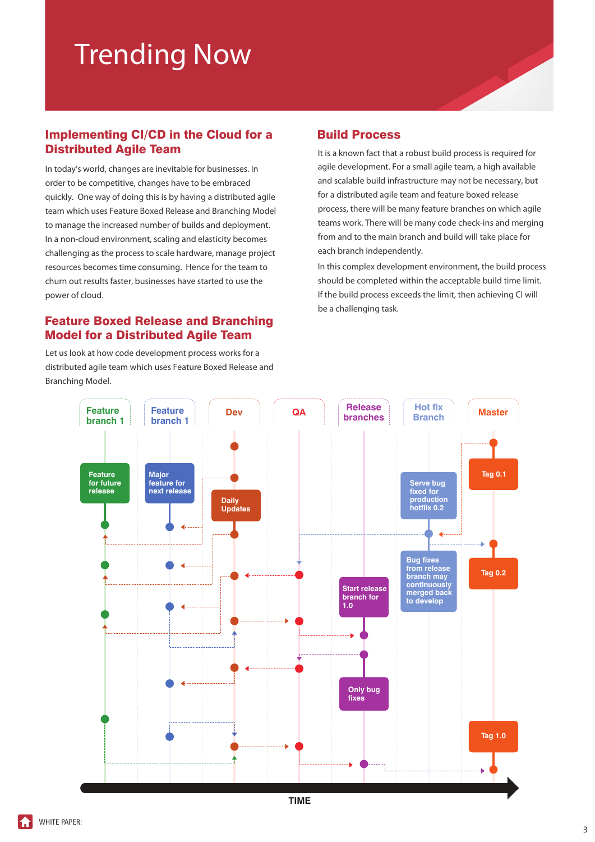# Trending Now

# Implementing CI/CD in the Cloud for a Distributed Agile Team

In today's world, changes are inevitable for businesses. In order to be competitive, changes have to be embraced quickly. One way of doing this is by having a distributed agile team which uses Feature Boxed Release and Branching Model to manage the increased number of builds and deployment. In a non-cloud environment, scaling and elasticity becomes challenging as the process to scale hardware, manage project resources becomes time consuming. Hence for the team to churn out results faster, businesses have started to use the power of cloud.

#### Feature Boxed Release and Branching Model for a Distributed Agile Team

Let us look at how code development process works for a distributed agile team which uses Feature Boxed Release and Branching Model.

### Build Process

It is a known fact that a robust build process is required for agile development. For a small agile team, a high available and scalable build infrastructure may not be necessary, but for a distributed agile team and feature boxed release process, there will be many feature branches on which agile teams work. There will be many code check-ins and merging from and to the main branch and build will take place for each branch independently.

In this complex development environment, the build process should be completed within the acceptable build time limit. If the build process exceeds the limit, then achieving CI will be a challenging task.

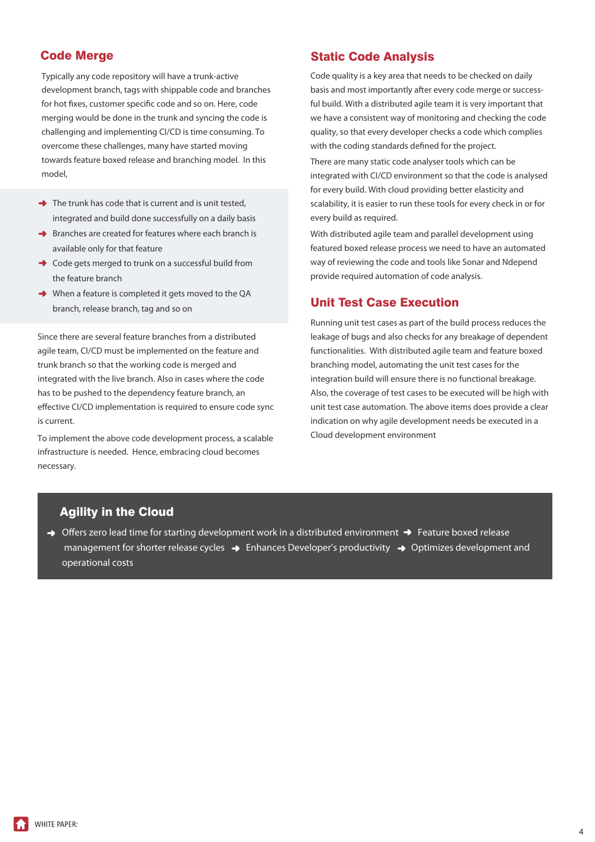### Code Merge

Typically any code repository will have a trunk-active development branch, tags with shippable code and branches for hot fixes, customer specific code and so on. Here, code merging would be done in the trunk and syncing the code is challenging and implementing CI/CD is time consuming. To overcome these challenges, many have started moving towards feature boxed release and branching model. In this model,

- $\rightarrow$  The trunk has code that is current and is unit tested. integrated and build done successfully on a daily basis
- $\rightarrow$  Branches are created for features where each branch is available only for that feature
- $\rightarrow$  Code gets merged to trunk on a successful build from the feature branch
- ◆ When a feature is completed it gets moved to the QA branch, release branch, tag and so on

Since there are several feature branches from a distributed agile team, CI/CD must be implemented on the feature and trunk branch so that the working code is merged and integrated with the live branch. Also in cases where the code has to be pushed to the dependency feature branch, an effective CI/CD implementation is required to ensure code sync is current.

To implement the above code development process, a scalable infrastructure is needed. Hence, embracing cloud becomes necessary.

#### Static Code Analysis

Code quality is a key area that needs to be checked on daily basis and most importantly after every code merge or successful build. With a distributed agile team it is very important that we have a consistent way of monitoring and checking the code quality, so that every developer checks a code which complies with the coding standards defined for the project.

There are many static code analyser tools which can be integrated with CI/CD environment so that the code is analysed for every build. With cloud providing better elasticity and scalability, it is easier to run these tools for every check in or for every build as required.

With distributed agile team and parallel development using featured boxed release process we need to have an automated way of reviewing the code and tools like Sonar and Ndepend provide required automation of code analysis.

#### Unit Test Case Execution

Running unit test cases as part of the build process reduces the leakage of bugs and also checks for any breakage of dependent functionalities. With distributed agile team and feature boxed branching model, automating the unit test cases for the integration build will ensure there is no functional breakage. Also, the coverage of test cases to be executed will be high with unit test case automation. The above items does provide a clear indication on why agile development needs be executed in a Cloud development environment

### Agility in the Cloud

 $\rightarrow$  Offers zero lead time for starting development work in a distributed environment  $\rightarrow$  Feature boxed release management for shorter release cycles  $\rightarrow$  Enhances Developer's productivity  $\rightarrow$  Optimizes development and operational costs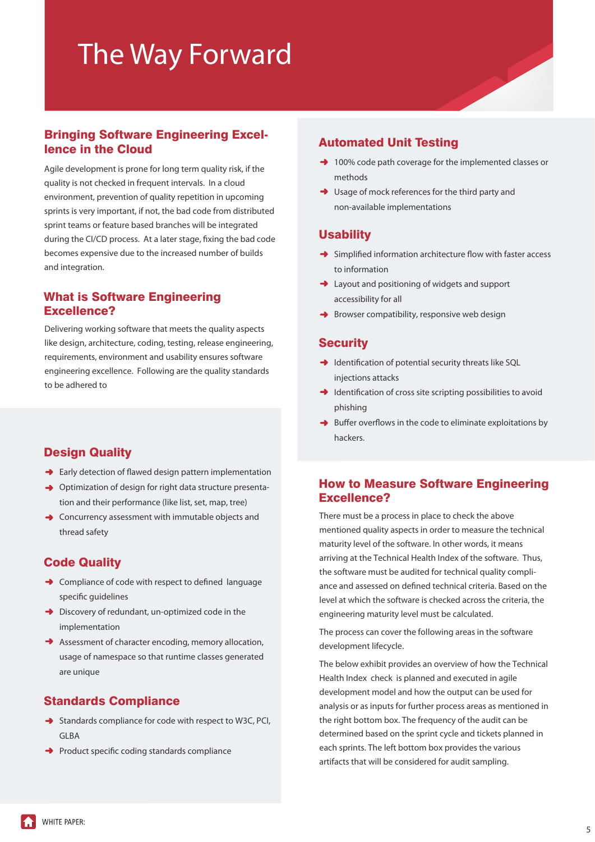# The Way Forward

# Bringing Software Engineering Excellence in the Cloud

Agile development is prone for long term quality risk, if the quality is not checked in frequent intervals. In a cloud environment, prevention of quality repetition in upcoming sprints is very important, if not, the bad code from distributed sprint teams or feature based branches will be integrated during the CI/CD process. At a later stage, fixing the bad code becomes expensive due to the increased number of builds and integration.

#### What is Software Engineering Excellence?

Delivering working software that meets the quality aspects like design, architecture, coding, testing, release engineering, requirements, environment and usability ensures software engineering excellence. Following are the quality standards to be adhered to

# Design Quality

- $\rightarrow$  Early detection of flawed design pattern implementation
- → Optimization of design for right data structure presentation and their performance (like list, set, map, tree)
- **→** Concurrency assessment with immutable objects and thread safety

#### Code Quality

- $\rightarrow$  Compliance of code with respect to defined language specific quidelines
- $\rightarrow$  Discovery of redundant, un-optimized code in the implementation
- Assessment of character encoding, memory allocation, usage of namespace so that runtime classes generated are unique

# Standards Compliance

- $\rightarrow$  Standards compliance for code with respect to W3C, PCI, GLBA
- $\rightarrow$  Product specific coding standards compliance

### Automated Unit Testing

- → 100% code path coverage for the implemented classes or methods
- **→** Usage of mock references for the third party and non-available implementations

#### **Usability**

- $\rightarrow$  Simplified information architecture flow with faster access to information
- **→** Layout and positioning of widgets and support accessibility for all
- $\rightarrow$  Browser compatibility, responsive web design

#### **Security**

- $\rightarrow$  Identification of potential security threats like SQL injections attacks
- $\rightarrow$  Identification of cross site scripting possibilities to avoid phishing
- $\rightarrow$  Buffer overflows in the code to eliminate exploitations by hackers.

# How to Measure Software Engineering Excellence?

There must be a process in place to check the above mentioned quality aspects in order to measure the technical maturity level of the software. In other words, it means arriving at the Technical Health Index of the software. Thus, the software must be audited for technical quality compliance and assessed on defined technical criteria. Based on the level at which the software is checked across the criteria, the engineering maturity level must be calculated.

The process can cover the following areas in the software development lifecycle.

The below exhibit provides an overview of how the Technical Health Index check is planned and executed in agile development model and how the output can be used for analysis or as inputs for further process areas as mentioned in the right bottom box. The frequency of the audit can be determined based on the sprint cycle and tickets planned in each sprints. The left bottom box provides the various artifacts that will be considered for audit sampling.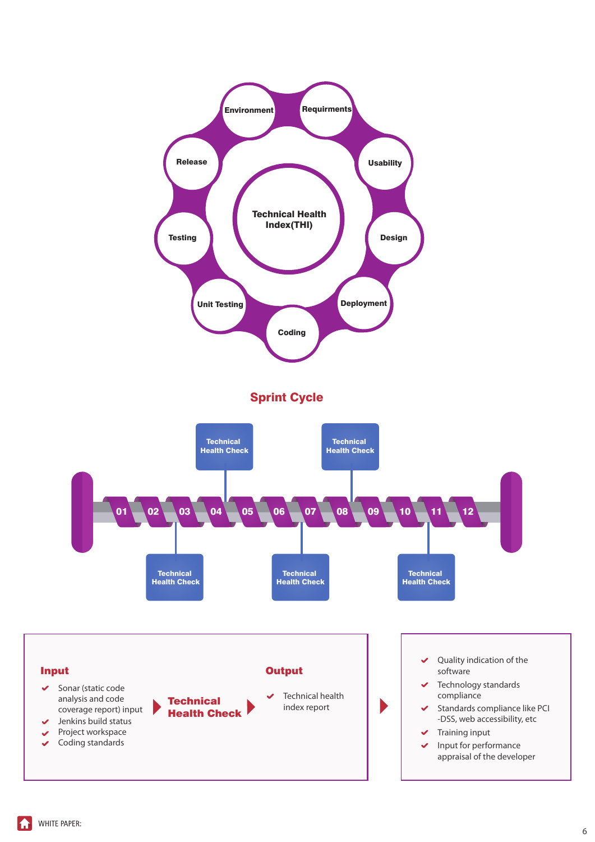